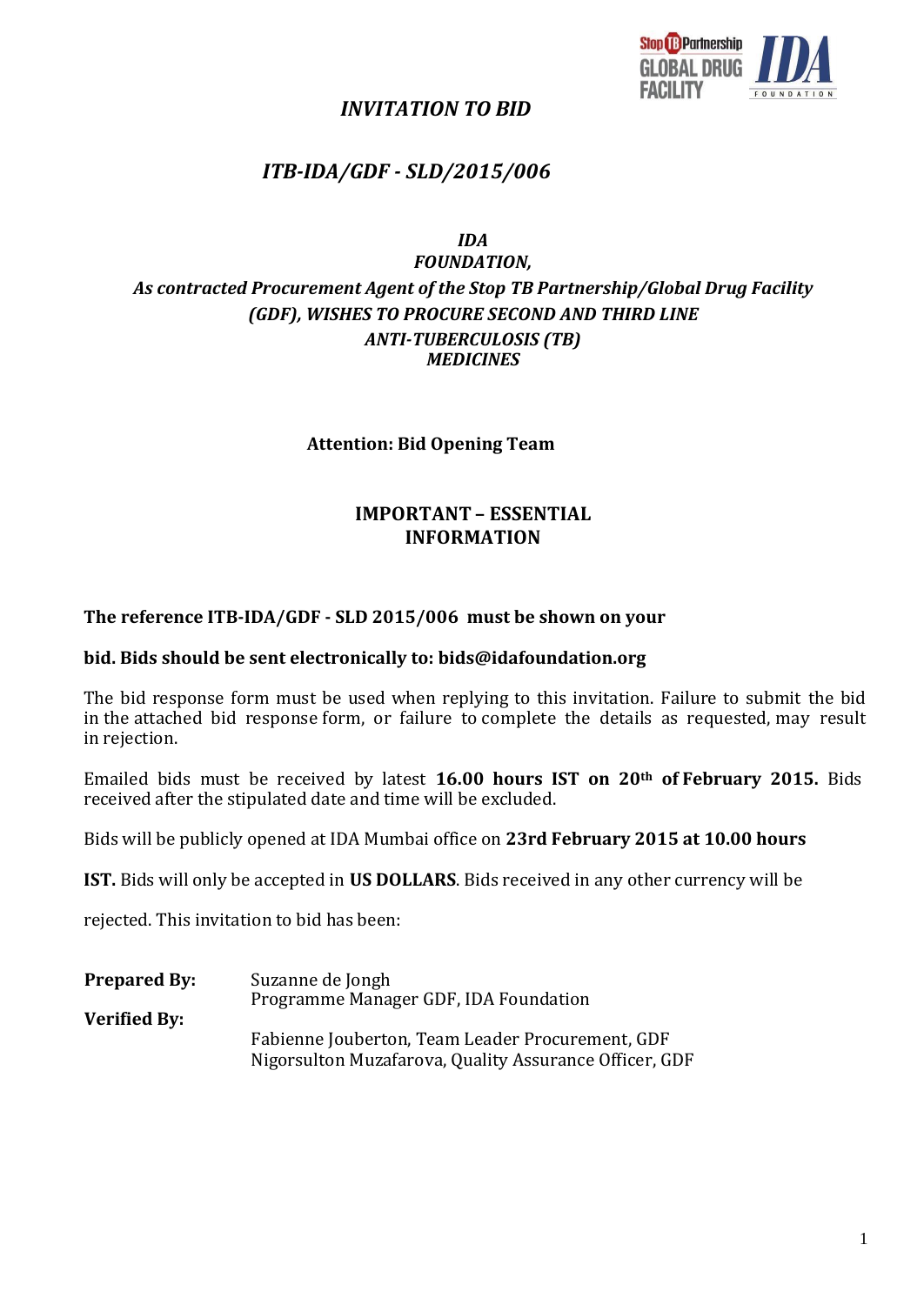

# *INVITATION TO BID*

# *ITB-IDA/GDF - SLD/2015/006*

*IDA*

# *FOUNDATION, As contracted Procurement Agent of the Stop TB Partnership/Global Drug Facility (GDF), WISHES TO PROCURE SECOND AND THIRD LINE ANTI-TUBERCULOSIS (TB) MEDICINES*

#### **Attention: Bid Opening Team**

# **IMPORTANT – ESSENTIAL INFORMATION**

#### **The reference ITB-IDA/GDF - SLD 2015/006 must be shown on your**

#### **bid. Bids should be sent electronically to: [bids@idafoundation.org](mailto:bids@idafoundation.org)**

The bid response form must be used when replying to this invitation. Failure to submit the bid in the attached bid response form, or failure to complete the details as requested, may result in rejection.

Emailed bids must be received by latest **16.00 hours IST on 20th of February 2015.** Bids received after the stipulated date and time will be excluded.

Bids will be publicly opened at IDA Mumbai office on **23rd February 2015 at 10.00 hours**

**IST.** Bids will only be accepted in **US DOLLARS**. Bids received in any other currency will be

rejected. This invitation to bid has been:

**Prepared By:** Suzanne de Jongh Programme Manager GDF, IDA Foundation **Verified By:** Fabienne Jouberton, Team Leader Procurement, GDF Nigorsulton Muzafarova, Quality Assurance Officer, GDF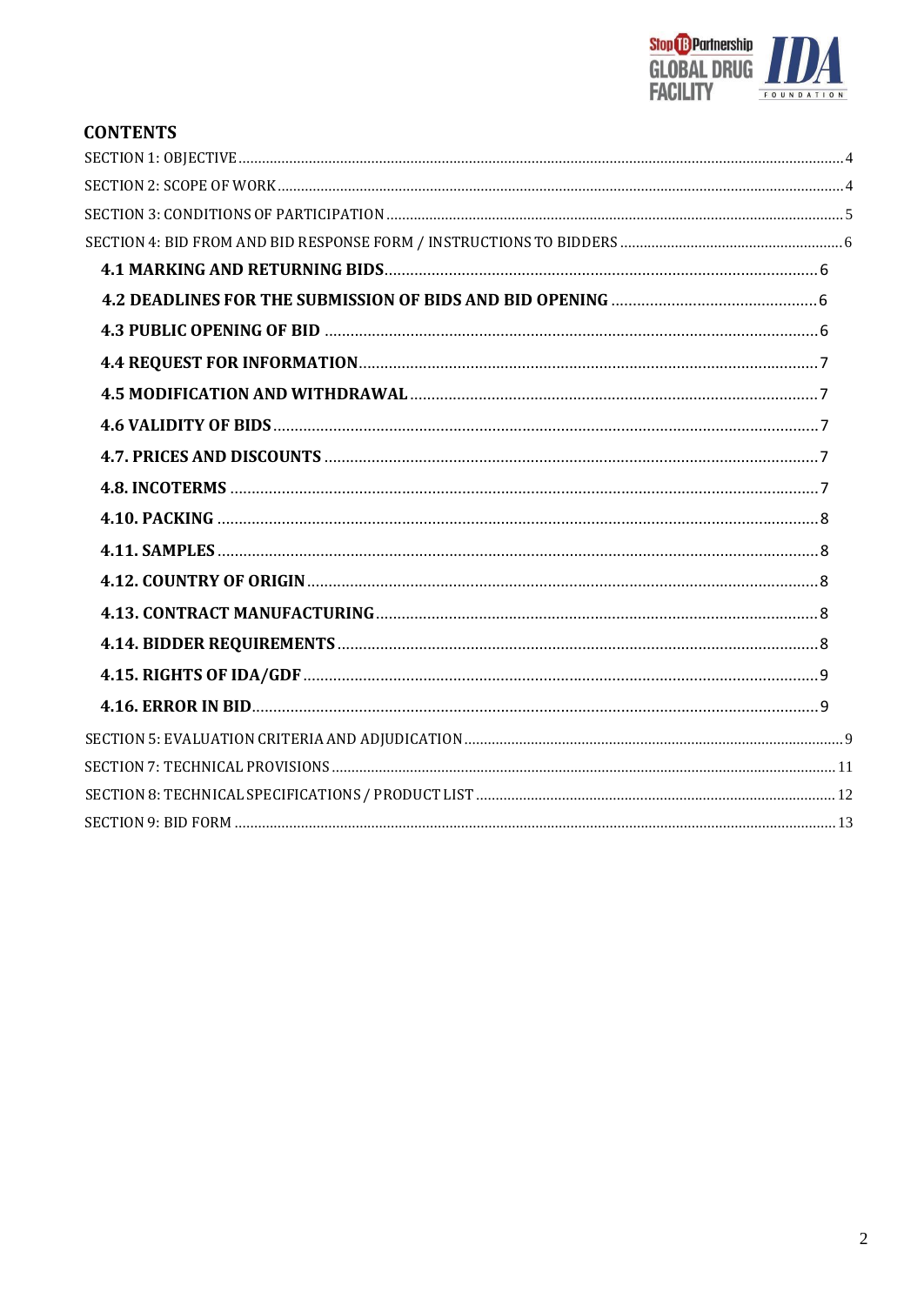

# **CONTENTS**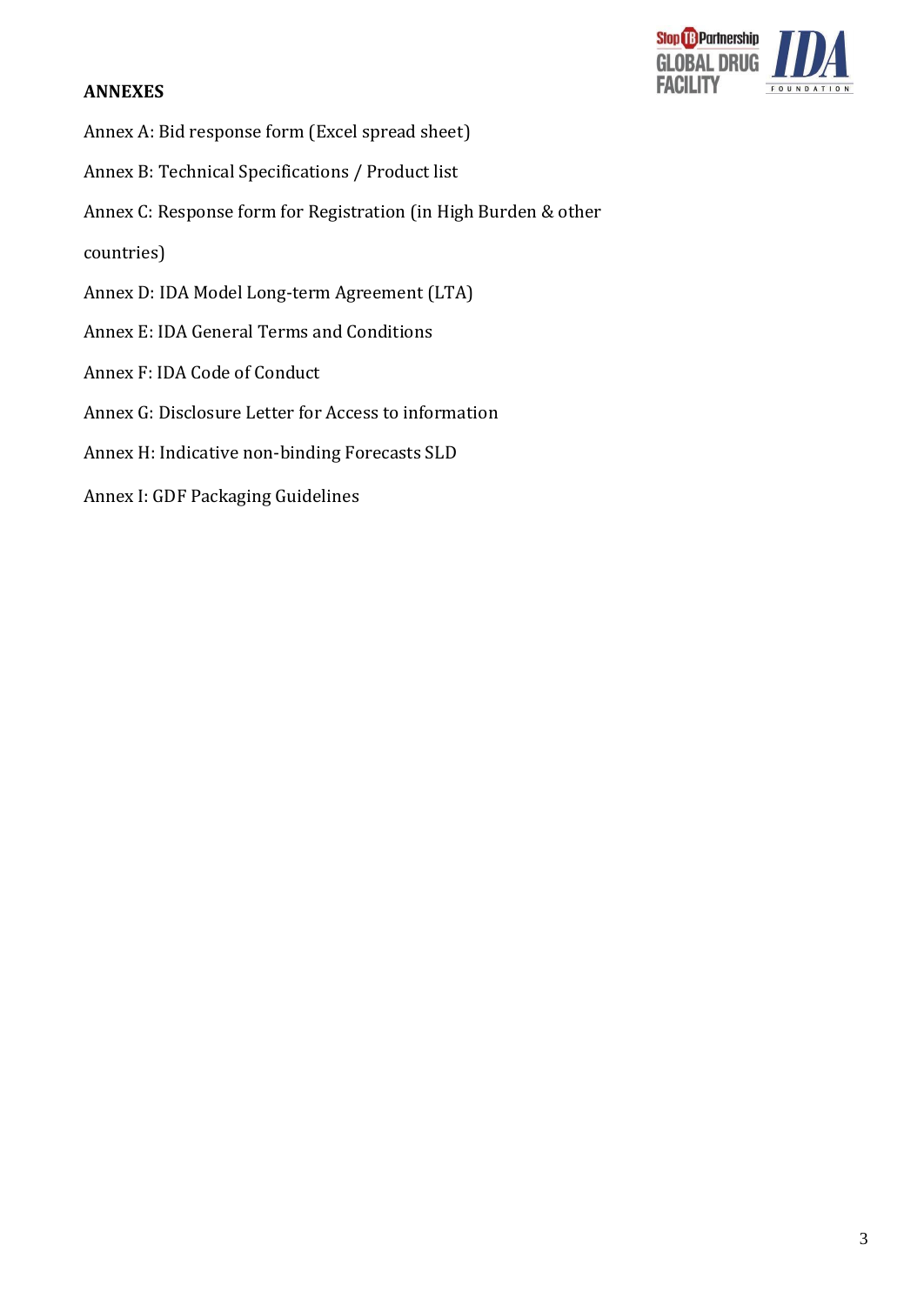### **ANNEXES**



- Annex A: Bid response form (Excel spread sheet)
- Annex B: Technical Specifications / Product list
- Annex C: Response form for Registration (in High Burden & other
- countries)
- Annex D: IDA Model Long-term Agreement (LTA)
- Annex E: IDA General Terms and Conditions
- Annex F: IDA Code of Conduct
- Annex G: Disclosure Letter for Access to information
- Annex H: Indicative non-binding Forecasts SLD
- Annex I: GDF Packaging Guidelines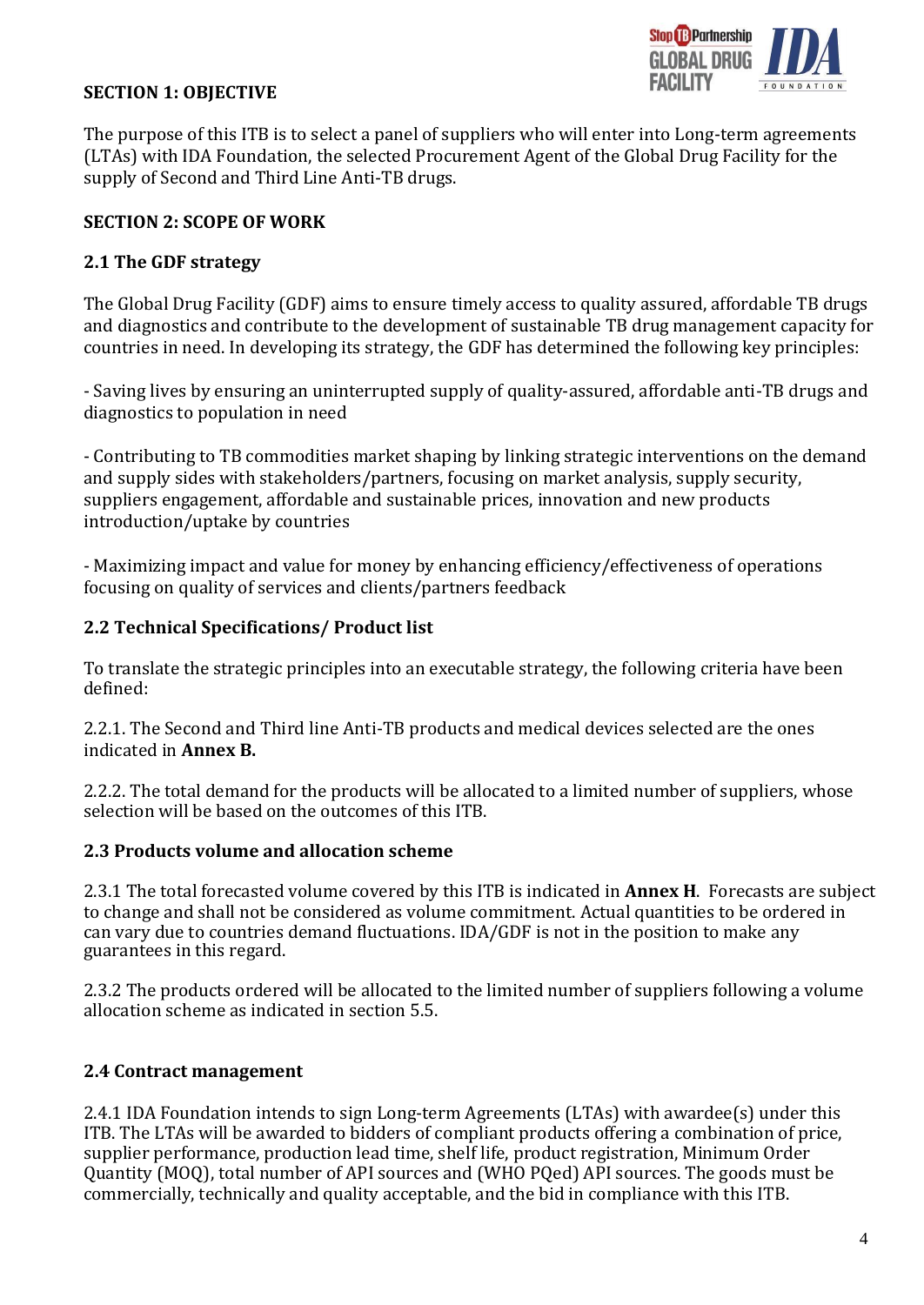

### **SECTION 1: OBJECTIVE**

The purpose of this ITB is to select a panel of suppliers who will enter into Long-term agreements (LTAs) with IDA Foundation, the selected Procurement Agent of the Global Drug Facility for the supply of Second and Third Line Anti-TB drugs.

### **SECTION 2: SCOPE OF WORK**

### **2.1 The GDF strategy**

The Global Drug Facility (GDF) aims to ensure timely access to quality assured, affordable TB drugs and diagnostics and contribute to the development of sustainable TB drug management capacity for countries in need. In developing its strategy, the GDF has determined the following key principles:

- Saving lives by ensuring an uninterrupted supply of quality-assured, affordable anti-TB drugs and diagnostics to population in need

- Contributing to TB commodities market shaping by linking strategic interventions on the demand and supply sides with stakeholders/partners, focusing on market analysis, supply security, suppliers engagement, affordable and sustainable prices, innovation and new products introduction/uptake by countries

- Maximizing impact and value for money by enhancing efficiency/effectiveness of operations focusing on quality of services and clients/partners feedback

### **2.2 Technical Specifications/ Product list**

To translate the strategic principles into an executable strategy, the following criteria have been defined:

2.2.1. The Second and Third line Anti-TB products and medical devices selected are the ones indicated in **Annex B.**

2.2.2. The total demand for the products will be allocated to a limited number of suppliers, whose selection will be based on the outcomes of this ITB.

### **2.3 Products volume and allocation scheme**

2.3.1 The total forecasted volume covered by this ITB is indicated in **Annex H**. Forecasts are subject to change and shall not be considered as volume commitment. Actual quantities to be ordered in can vary due to countries demand fluctuations. IDA/GDF is not in the position to make any guarantees in this regard.

2.3.2 The products ordered will be allocated to the limited number of suppliers following a volume allocation scheme as indicated in section 5.5.

## **2.4 Contract management**

2.4.1 IDA Foundation intends to sign Long-term Agreements (LTAs) with awardee(s) under this ITB. The LTAs will be awarded to bidders of compliant products offering a combination of price, supplier performance, production lead time, shelf life, product registration, Minimum Order Quantity (MOQ), total number of API sources and (WHO PQed) API sources. The goods must be commercially, technically and quality acceptable, and the bid in compliance with this ITB.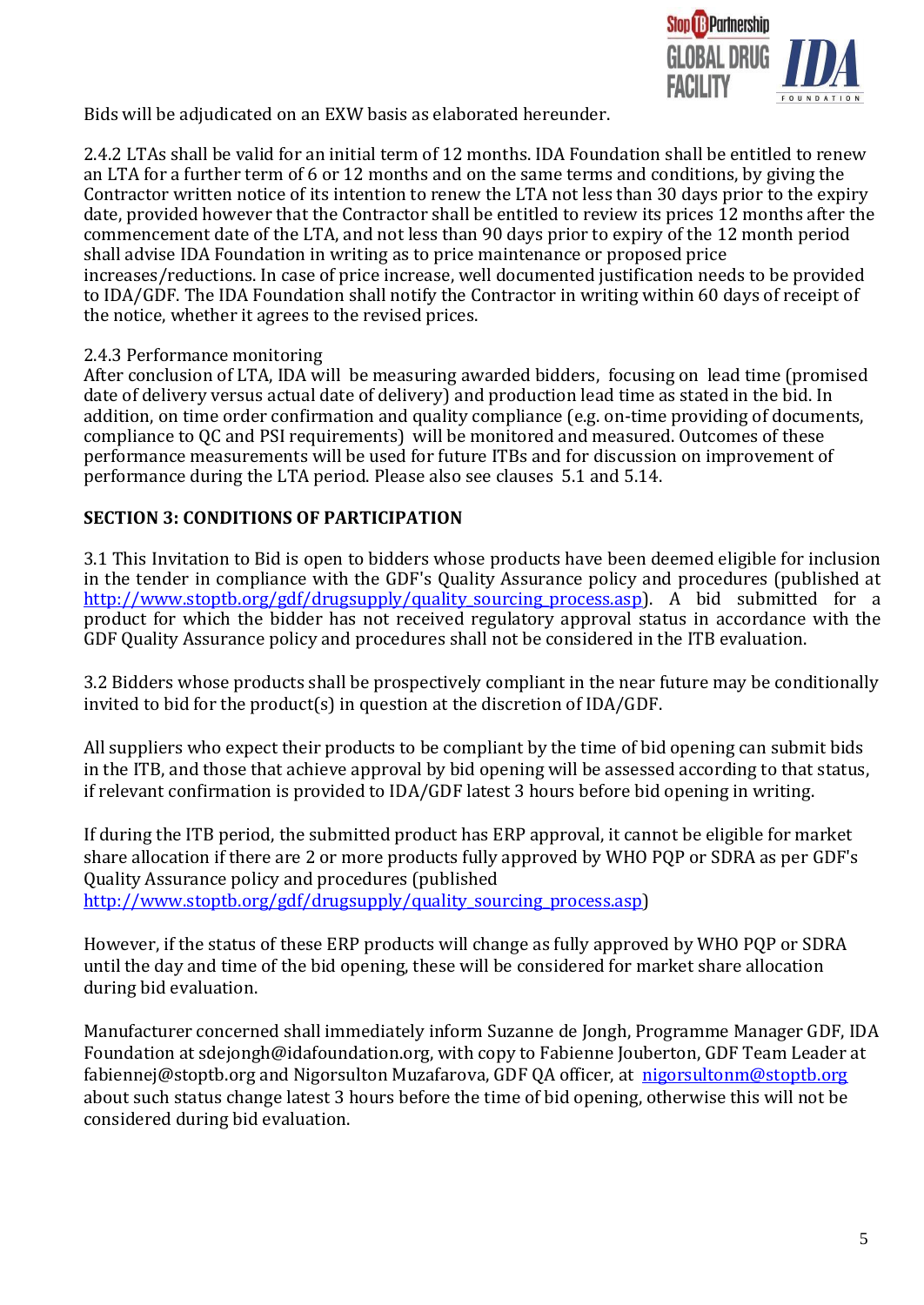

Bids will be adjudicated on an EXW basis as elaborated hereunder.

2.4.2 LTAs shall be valid for an initial term of 12 months. IDA Foundation shall be entitled to renew an LTA for a further term of 6 or 12 months and on the same terms and conditions, by giving the Contractor written notice of its intention to renew the LTA not less than 30 days prior to the expiry date, provided however that the Contractor shall be entitled to review its prices 12 months after the commencement date of the LTA, and not less than 90 days prior to expiry of the 12 month period shall advise IDA Foundation in writing as to price maintenance or proposed price increases/reductions. In case of price increase, well documented justification needs to be provided to IDA/GDF. The IDA Foundation shall notify the Contractor in writing within 60 days of receipt of the notice, whether it agrees to the revised prices.

### 2.4.3 Performance monitoring

After conclusion of LTA, IDA will be measuring awarded bidders, focusing on lead time (promised date of delivery versus actual date of delivery) and production lead time as stated in the bid. In addition, on time order confirmation and quality compliance (e.g. on-time providing of documents, compliance to QC and PSI requirements) will be monitored and measured. Outcomes of these performance measurements will be used for future ITBs and for discussion on improvement of performance during the LTA period. Please also see clauses 5.1 and 5.14.

### **SECTION 3: CONDITIONS OF PARTICIPATION**

3.1 This Invitation to Bid is open to bidders whose products have been deemed eligible for inclusion in the tender in compliance with the GDF's Quality Assurance policy and procedures (published at http://www.stoptb.org/gdf/drugsupply/quality sourcing process.asp). A bid submitted for a product for which the bidder has not received regulatory approval status in accordance with the GDF Quality Assurance policy and procedures shall not be considered in the ITB evaluation.

3.2 Bidders whose products shall be prospectively compliant in the near future may be conditionally invited to bid for the product(s) in question at the discretion of IDA/GDF.

All suppliers who expect their products to be compliant by the time of bid opening can submit bids in the ITB, and those that achieve approval by bid opening will be assessed according to that status, if relevant confirmation is provided to IDA/GDF latest 3 hours before bid opening in writing.

If during the ITB period, the submitted product has ERP approval, it cannot be eligible for market share allocation if there are 2 or more products fully approved by WHO PQP or SDRA as per GDF's Quality Assurance policy and procedures (published [http://www.stoptb.org/gdf/drugsupply/quality\\_sourcing\\_process.asp\)](http://www.stoptb.org/gdf/drugsupply/quality_sourcing_process.asp)

However, if the status of these ERP products will change as fully approved by WHO PQP or SDRA until the day and time of the bid opening, these will be considered for market share allocation during bid evaluation.

Manufacturer concerned shall immediately inform Suzanne de Jongh, Programme Manager GDF, IDA Foundation [at sdejongh@idafoundation.org,](mailto:sdejongh@idafoundation.org) with copy to Fabienne Jouberton, GDF Team Leader a[t](mailto:%20fabiennej@stoptb.org) fabiennej@stoptb.org and Nigorsulton Muzafarova, GDF QA officer, at [nigorsultonm@stoptb.org](mailto:nigorsultonm@stoptb.org) about such status change latest 3 hours before the time of bid opening, otherwise this will not be considered during bid evaluation.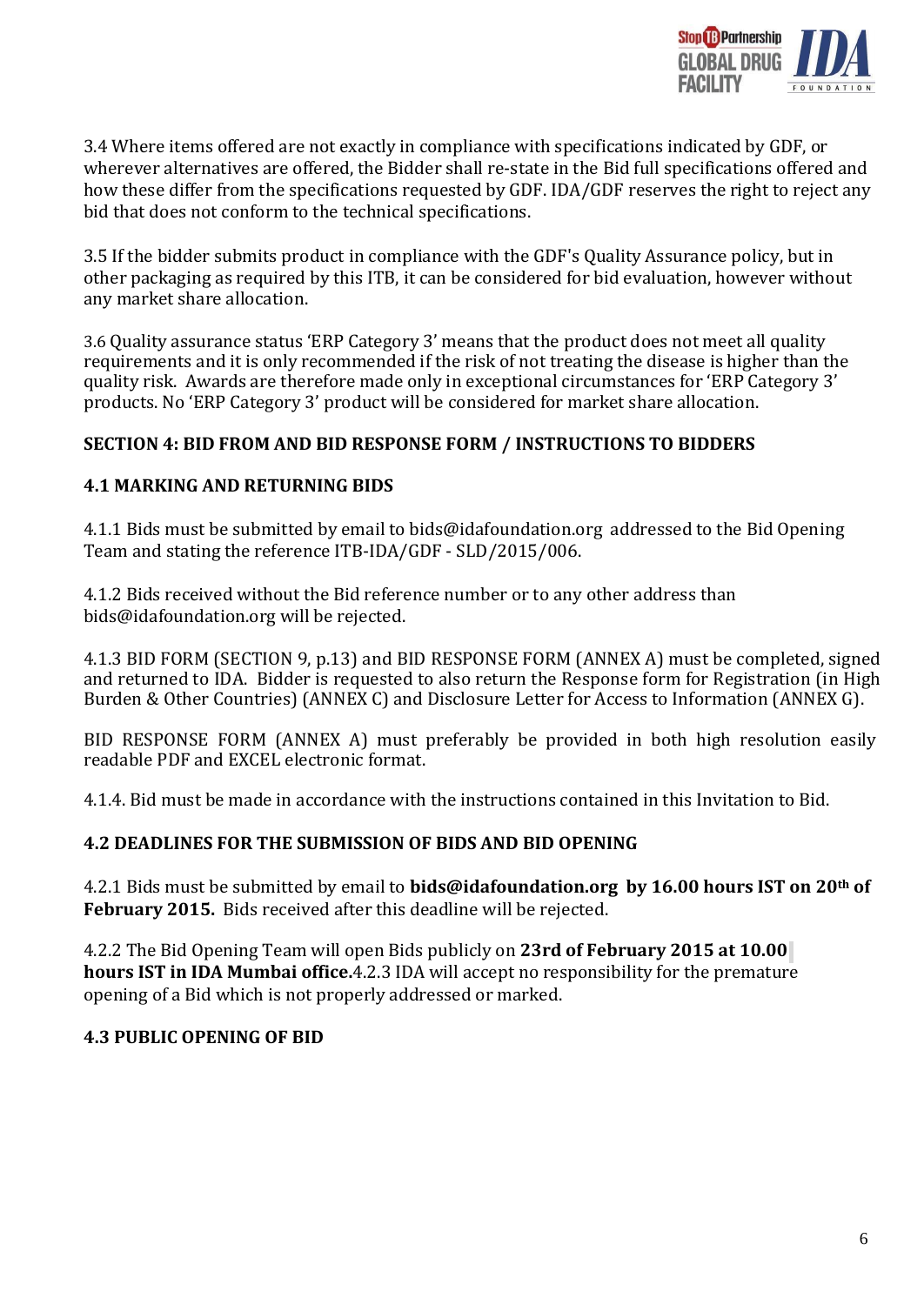

3.4 Where items offered are not exactly in compliance with specifications indicated by GDF, or wherever alternatives are offered, the Bidder shall re-state in the Bid full specifications offered and how these differ from the specifications requested by GDF. IDA/GDF reserves the right to reject any bid that does not conform to the technical specifications.

3.5 If the bidder submits product in compliance with the GDF's Quality Assurance policy, but in other packaging as required by this ITB, it can be considered for bid evaluation, however without any market share allocation.

3.6 Quality assurance status 'ERP Category 3' means that the product does not meet all quality requirements and it is only recommended if the risk of not treating the disease is higher than the quality risk. Awards are therefore made only in exceptional circumstances for 'ERP Category 3' products. No 'ERP Category 3' product will be considered for market share allocation.

### **SECTION 4: BID FROM AND BID RESPONSE FORM / INSTRUCTIONS TO BIDDERS**

### **4.1 MARKING AND RETURNING BIDS**

4.1.1 Bids must be submitted by email [to bids@idafoundation.org](mailto:bids@idafoundation.org) addressed to the Bid Opening Team and stating the reference ITB-IDA/GDF - SLD/2015/006.

4.1.2 Bids received without the Bid reference number or to any other address tha[n](mailto:bids@idafoundation.org) [bids@idafoundation.org](mailto:bids@idafoundation.org) will be rejected.

4.1.3 BID FORM (SECTION 9, p.13) and BID RESPONSE FORM (ANNEX A) must be completed, signed and returned to IDA. Bidder is requested to also return the Response form for Registration (in High Burden & Other Countries) (ANNEX C) and Disclosure Letter for Access to Information (ANNEX G).

BID RESPONSE FORM (ANNEX A) must preferably be provided in both high resolution easily readable PDF and EXCEL electronic format.

4.1.4. Bid must be made in accordance with the instructions contained in this Invitation to Bid.

### **4.2 DEADLINES FOR THE SUBMISSION OF BIDS AND BID OPENING**

4.2.1 Bids must be submitted by email to **[bids@idafoundation.org](mailto:bids@idafoundation.org) by 16.00 hours IST on 20th of February 2015.** Bids received after this deadline will be rejected.

4.2.2 The Bid Opening Team will open Bids publicly on **23rd of February 2015 at 10.00 hours IST in IDA Mumbai office.**4.2.3 IDA will accept no responsibility for the premature opening of a Bid which is not properly addressed or marked.

#### **4.3 PUBLIC OPENING OF BID**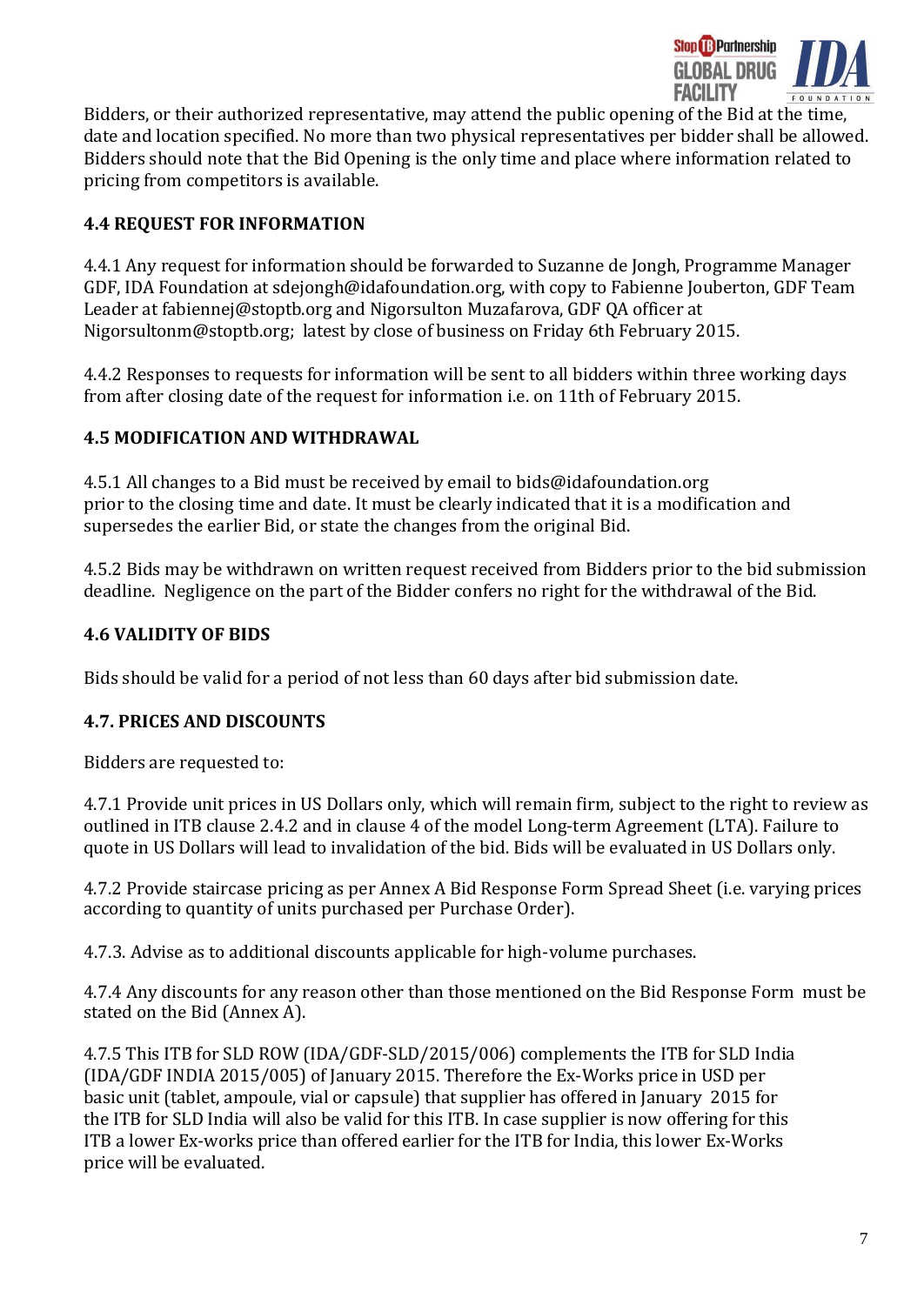

l Bidders, or their authorized representative, may attend the public opening of the Bid at the time, date and location specified. No more than two physical representatives per bidder shall be allowed. Bidders should note that the Bid Opening is the only time and place where information related to pricing from competitors is available.

# **4.4 REQUEST FOR INFORMATION**

4.4.1 Any request for information should be forwarded to Suzanne de Jongh, Programme Manager GDF, IDA Foundation at [sdejongh@idafoundation.org,](mailto:sdejongh@idafoundation.org) with copy to Fabienne Jouberton, GDF Team Leader at [fabiennej@stoptb.org](mailto:fabiennej@stoptb.org) and Nigorsulton Muzafarova, GDF QA officer at Nigorsulton[m@stoptb.org;](mailto:JonL@stoptb.org) latest by close of business on Friday 6th February 2015.

4.4.2 Responses to requests for information will be sent to all bidders within three working days from after closing date of the request for information i.e. on 11th of February 2015.

### **4.5 MODIFICATION AND WITHDRAWAL**

4.5.1 All changes to a Bid must be received by email to [bids@idafoundation.org](mailto:bids@idafoundation.org) prior to the closing time and date. It must be clearly indicated that it is a modification and supersedes the earlier Bid, or state the changes from the original Bid.

4.5.2 Bids may be withdrawn on written request received from Bidders prior to the bid submission deadline. Negligence on the part of the Bidder confers no right for the withdrawal of the Bid.

## **4.6 VALIDITY OF BIDS**

Bids should be valid for a period of not less than 60 days after bid submission date.

### **4.7. PRICES AND DISCOUNTS**

Bidders are requested to:

4.7.1 Provide unit prices in US Dollars only, which will remain firm, subject to the right to review as outlined in ITB clause 2.4.2 and in clause 4 of the model Long-term Agreement (LTA). Failure to quote in US Dollars will lead to invalidation of the bid. Bids will be evaluated in US Dollars only.

4.7.2 Provide staircase pricing as per Annex A Bid Response Form Spread Sheet (i.e. varying prices according to quantity of units purchased per Purchase Order).

4.7.3. Advise as to additional discounts applicable for high-volume purchases.

4.7.4 Any discounts for any reason other than those mentioned on the Bid Response Form must be stated on the Bid (Annex A).

4.7.5 This ITB for SLD ROW (IDA/GDF-SLD/2015/006) complements the ITB for SLD India (IDA/GDF INDIA 2015/005) of January 2015. Therefore the Ex-Works price in USD per basic unit (tablet, ampoule, vial or capsule) that supplier has offered in January 2015 for the ITB for SLD India will also be valid for this ITB. In case supplier is now offering for this ITB a lower Ex-works price than offered earlier for the ITB for India, this lower Ex-Works price will be evaluated.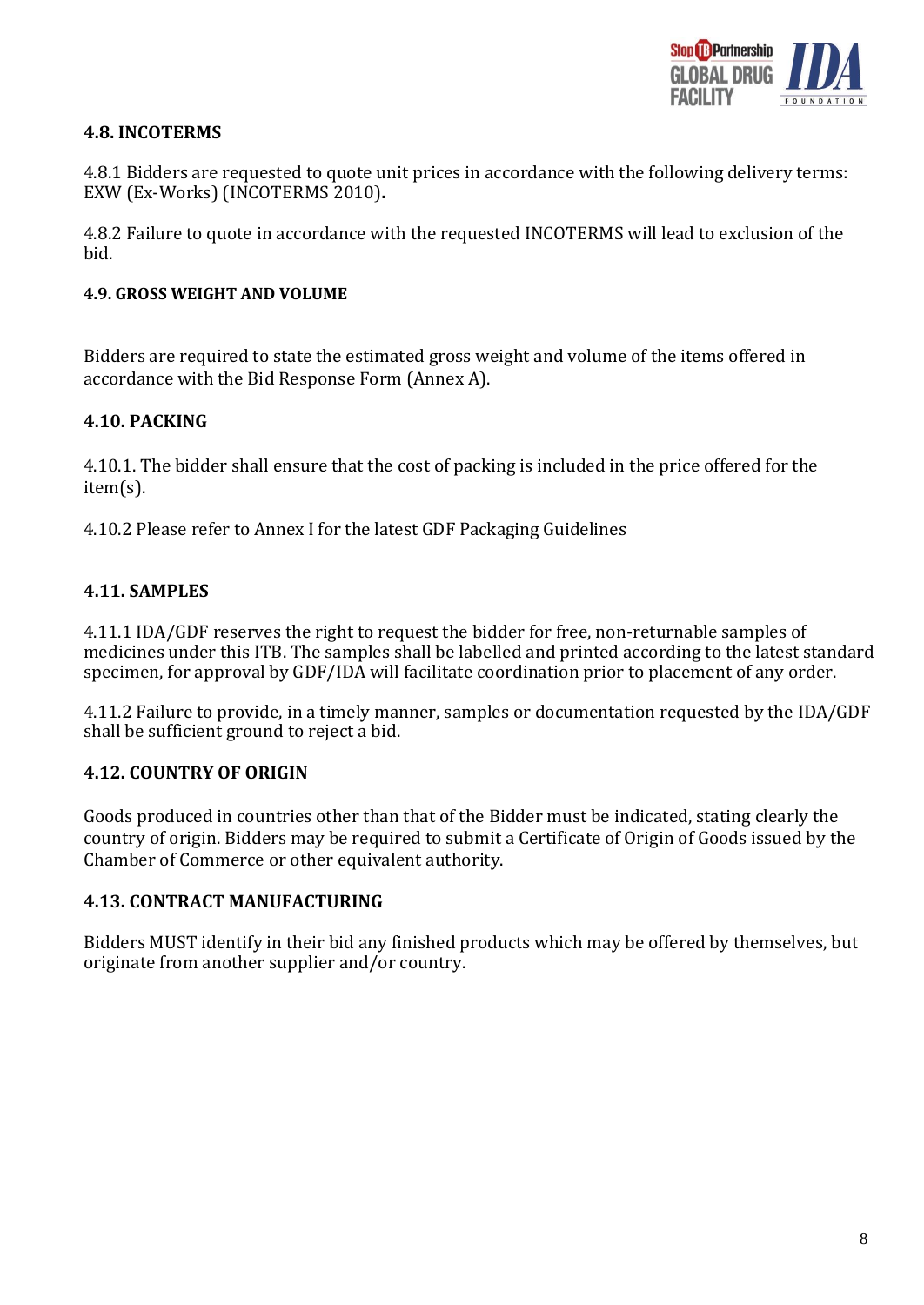

### **4.8. INCOTERMS**

4.8.1 Bidders are requested to quote unit prices in accordance with the following delivery terms: EXW (Ex-Works) (INCOTERMS 2010)**.**

4.8.2 Failure to quote in accordance with the requested INCOTERMS will lead to exclusion of the bid.

#### **4.9. GROSS WEIGHT AND VOLUME**

Bidders are required to state the estimated gross weight and volume of the items offered in accordance with the Bid Response Form (Annex A).

### **4.10. PACKING**

4.10.1. The bidder shall ensure that the cost of packing is included in the price offered for the item(s).

4.10.2 Please refer to Annex I for the latest GDF Packaging Guidelines

### **4.11. SAMPLES**

4.11.1 IDA/GDF reserves the right to request the bidder for free, non-returnable samples of medicines under this ITB. The samples shall be labelled and printed according to the latest standard specimen, for approval by GDF/IDA will facilitate coordination prior to placement of any order.

4.11.2 Failure to provide, in a timely manner, samples or documentation requested by the IDA/GDF shall be sufficient ground to reject a bid.

### **4.12. COUNTRY OF ORIGIN**

Goods produced in countries other than that of the Bidder must be indicated, stating clearly the country of origin. Bidders may be required to submit a Certificate of Origin of Goods issued by the Chamber of Commerce or other equivalent authority.

### **4.13. CONTRACT MANUFACTURING**

Bidders MUST identify in their bid any finished products which may be offered by themselves, but originate from another supplier and/or country.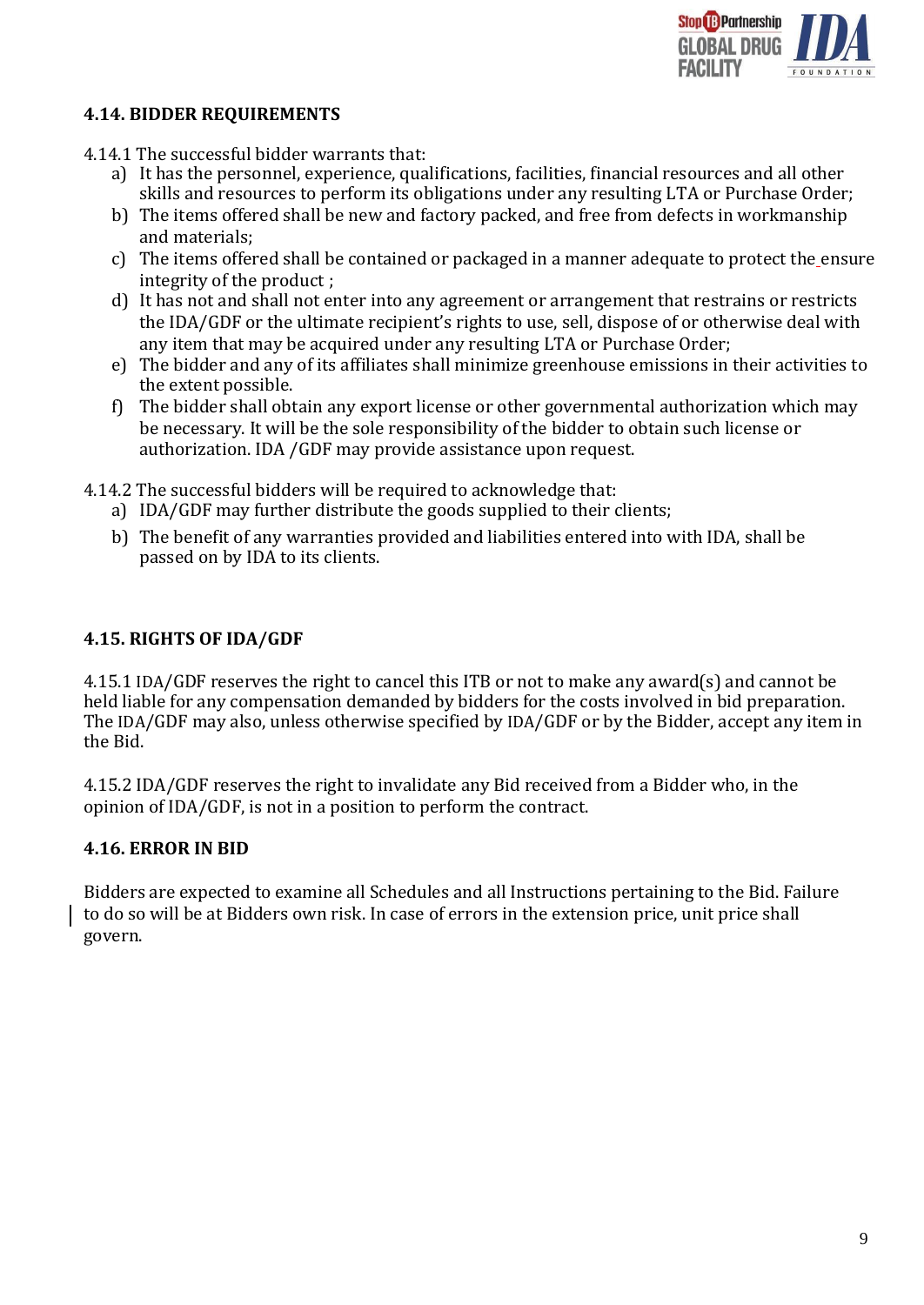

### **4.14. BIDDER REQUIREMENTS**

- 4.14.1 The successful bidder warrants that:
	- a) It has the personnel, experience, qualifications, facilities, financial resources and all other skills and resources to perform its obligations under any resulting LTA or Purchase Order;
	- b) The items offered shall be new and factory packed, and free from defects in workmanship and materials;
	- c) The items offered shall be contained or packaged in a manner adequate to protect the ensure integrity of the product ;
	- d) It has not and shall not enter into any agreement or arrangement that restrains or restricts the IDA/GDF or the ultimate recipient's rights to use, sell, dispose of or otherwise deal with any item that may be acquired under any resulting LTA or Purchase Order;
	- e) The bidder and any of its affiliates shall minimize greenhouse emissions in their activities to the extent possible.
	- f) The bidder shall obtain any export license or other governmental authorization which may be necessary. It will be the sole responsibility of the bidder to obtain such license or authorization. IDA /GDF may provide assistance upon request.
- 4.14.2 The successful bidders will be required to acknowledge that:
	- a) IDA/GDF may further distribute the goods supplied to their clients;
	- b) The benefit of any warranties provided and liabilities entered into with IDA, shall be passed on by IDA to its clients.

### **4.15. RIGHTS OF IDA/GDF**

4.15.1 IDA/GDF reserves the right to cancel this ITB or not to make any award(s) and cannot be held liable for any compensation demanded by bidders for the costs involved in bid preparation. The IDA/GDF may also, unless otherwise specified by IDA/GDF or by the Bidder, accept any item in the Bid.

4.15.2 IDA/GDF reserves the right to invalidate any Bid received from a Bidder who, in the opinion of IDA/GDF, is not in a position to perform the contract.

### **4.16. ERROR IN BID**

Bidders are expected to examine all Schedules and all Instructions pertaining to the Bid. Failure to do so will be at Bidders own risk. In case of errors in the extension price, unit price shall govern.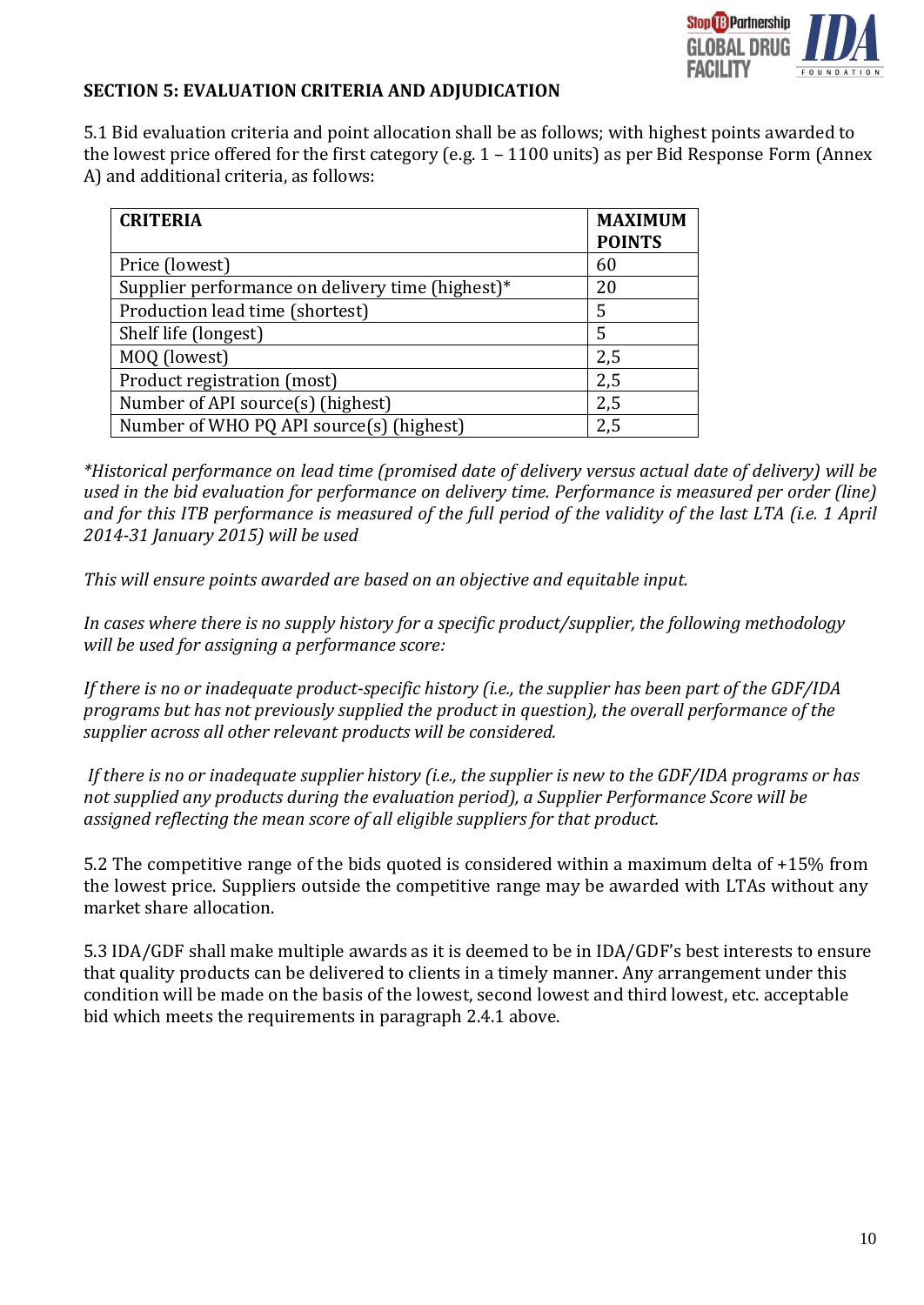

#### **SECTION 5: EVALUATION CRITERIA AND ADJUDICATION**

5.1 Bid evaluation criteria and point allocation shall be as follows; with highest points awarded to the lowest price offered for the first category (e.g. 1 – 1100 units) as per Bid Response Form (Annex A) and additional criteria, as follows:

| <b>CRITERIA</b>                                  | <b>MAXIMUM</b><br><b>POINTS</b> |
|--------------------------------------------------|---------------------------------|
| Price (lowest)                                   | 60                              |
| Supplier performance on delivery time (highest)* | 20                              |
| Production lead time (shortest)                  | 5                               |
| Shelf life (longest)                             | 5                               |
| MOQ (lowest)                                     | 2,5                             |
| Product registration (most)                      | 2,5                             |
| Number of API source(s) (highest)                | 2,5                             |
| Number of WHO PQ API source(s) (highest)         | 2,5                             |

*\*Historical performance on lead time (promised date of delivery versus actual date of delivery) will be used in the bid evaluation for performance on delivery time. Performance is measured per order (line) and for this ITB performance is measured of the full period of the validity of the last LTA (i.e. 1 April 2014-31 January 2015) will be used*

*This will ensure points awarded are based on an objective and equitable input.*

*In cases where there is no supply history for a specific product/supplier, the following methodology will be used for assigning a performance score:*

*If there is no or inadequate product-specific history (i.e., the supplier has been part of the GDF/IDA programs but has not previously supplied the product in question), the overall performance of the supplier across all other relevant products will be considered.*

*If there is no or inadequate supplier history (i.e., the supplier is new to the GDF/IDA programs or has not supplied any products during the evaluation period), a Supplier Performance Score will be assigned reflecting the mean score of all eligible suppliers for that product.*

5.2 The competitive range of the bids quoted is considered within a maximum delta of +15% from the lowest price. Suppliers outside the competitive range may be awarded with LTAs without any market share allocation.

5.3 IDA/GDF shall make multiple awards as it is deemed to be in IDA/GDF's best interests to ensure that quality products can be delivered to clients in a timely manner. Any arrangement under this condition will be made on the basis of the lowest, second lowest and third lowest, etc. acceptable bid which meets the requirements in paragraph 2.4.1 above.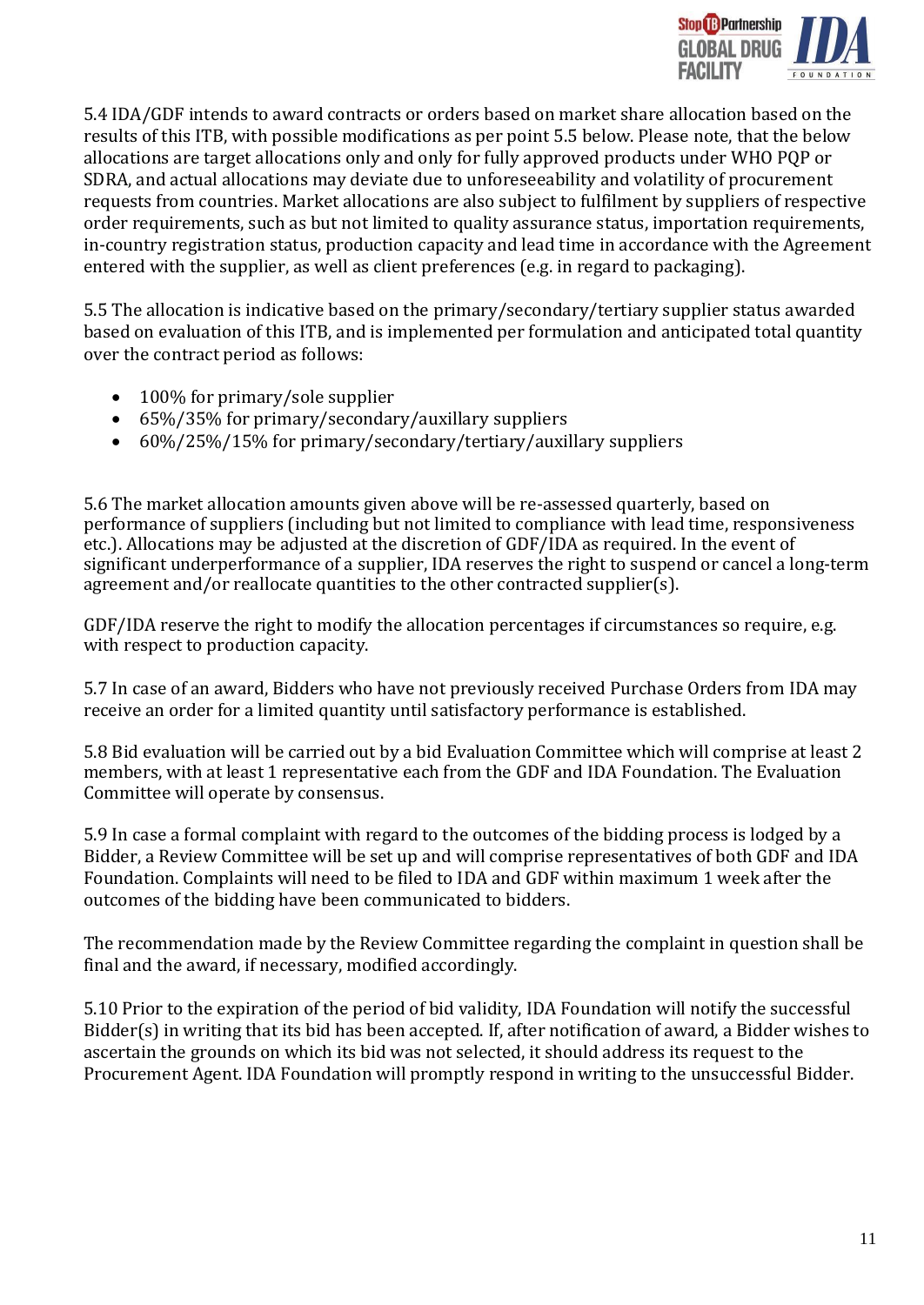

5.4 IDA/GDF intends to award contracts or orders based on market share allocation based on the results of this ITB, with possible modifications as per point 5.5 below. Please note, that the below allocations are target allocations only and only for fully approved products under WHO PQP or SDRA, and actual allocations may deviate due to unforeseeability and volatility of procurement requests from countries. Market allocations are also subject to fulfilment by suppliers of respective order requirements, such as but not limited to quality assurance status, importation requirements, in-country registration status, production capacity and lead time in accordance with the Agreement entered with the supplier, as well as client preferences (e.g. in regard to packaging).

5.5 The allocation is indicative based on the primary/secondary/tertiary supplier status awarded based on evaluation of this ITB, and is implemented per formulation and anticipated total quantity over the contract period as follows:

- 100% for primary/sole supplier
- 65%/35% for primary/secondary/auxillary suppliers
- 60%/25%/15% for primary/secondary/tertiary/auxillary suppliers

5.6 The market allocation amounts given above will be re-assessed quarterly, based on performance of suppliers (including but not limited to compliance with lead time, responsiveness etc.). Allocations may be adjusted at the discretion of GDF/IDA as required. In the event of significant underperformance of a supplier, IDA reserves the right to suspend or cancel a long-term agreement and/or reallocate quantities to the other contracted supplier(s).

GDF/IDA reserve the right to modify the allocation percentages if circumstances so require, e.g. with respect to production capacity.

5.7 In case of an award, Bidders who have not previously received Purchase Orders from IDA may receive an order for a limited quantity until satisfactory performance is established.

5.8 Bid evaluation will be carried out by a bid Evaluation Committee which will comprise at least 2 members, with at least 1 representative each from the GDF and IDA Foundation. The Evaluation Committee will operate by consensus.

5.9 In case a formal complaint with regard to the outcomes of the bidding process is lodged by a Bidder, a Review Committee will be set up and will comprise representatives of both GDF and IDA Foundation. Complaints will need to be filed to IDA and GDF within maximum 1 week after the outcomes of the bidding have been communicated to bidders.

The recommendation made by the Review Committee regarding the complaint in question shall be final and the award, if necessary, modified accordingly.

5.10 Prior to the expiration of the period of bid validity, IDA Foundation will notify the successful Bidder(s) in writing that its bid has been accepted. If, after notification of award, a Bidder wishes to ascertain the grounds on which its bid was not selected, it should address its request to the Procurement Agent. IDA Foundation will promptly respond in writing to the unsuccessful Bidder.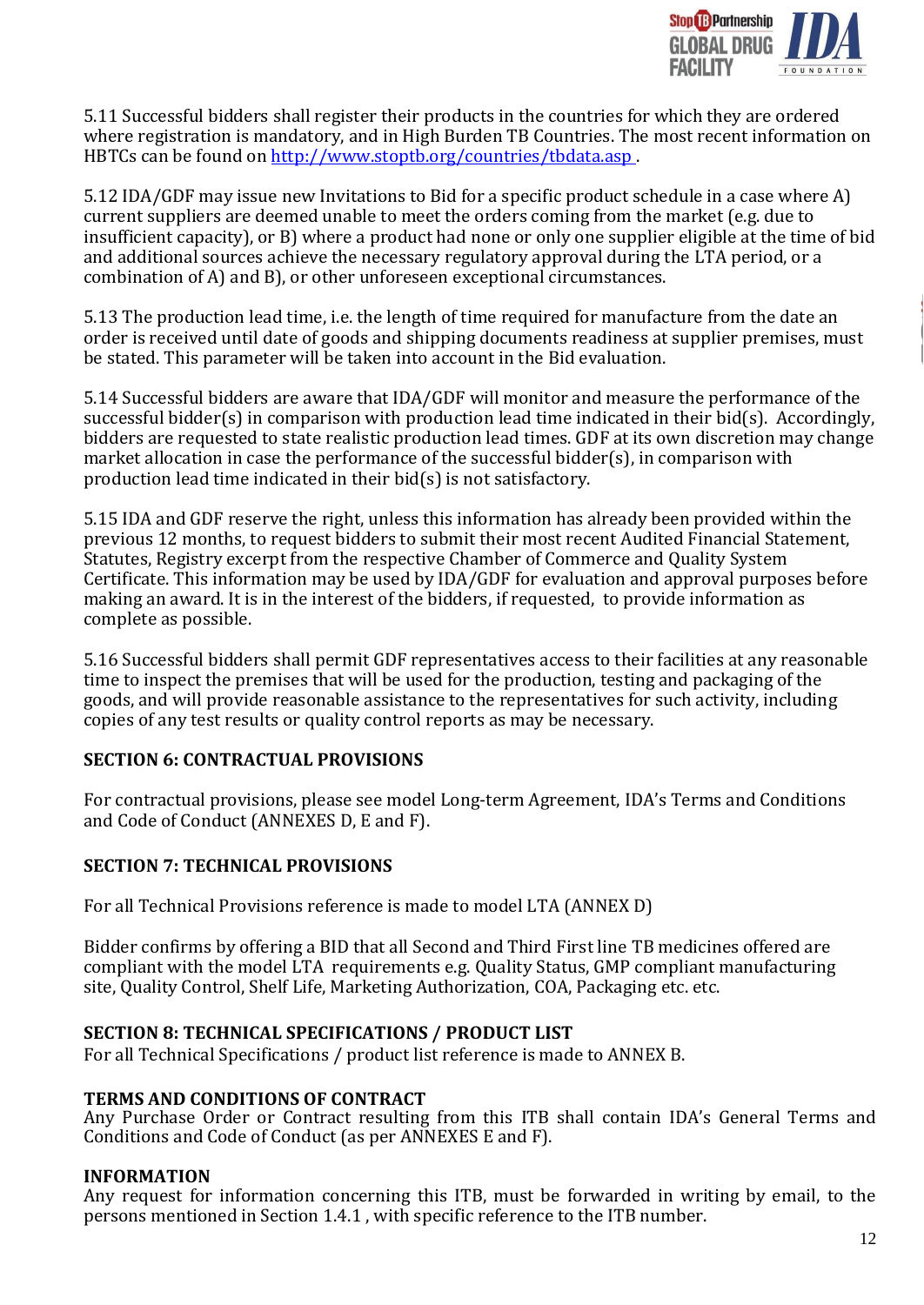

5.11 Successful bidders shall register their products in the countries for which they are ordered where registration is mandatory, and in High Burden TB Countries. The most recent information on HBTCs can be found on<http://www.stoptb.org/countries/tbdata.asp> .

5.12 IDA/GDF may issue new Invitations to Bid for a specific product schedule in a case where A) current suppliers are deemed unable to meet the orders coming from the market (e.g. due to insufficient capacity), or B) where a product had none or only one supplier eligible at the time of bid and additional sources achieve the necessary regulatory approval during the LTA period, or a combination of A) and B), or other unforeseen exceptional circumstances.

5.13 The production lead time, i.e. the length of time required for manufacture from the date an order is received until date of goods and shipping documents readiness at supplier premises, must be stated. This parameter will be taken into account in the Bid evaluation.

5.14 Successful bidders are aware that IDA/GDF will monitor and measure the performance of the successful bidder(s) in comparison with production lead time indicated in their bid(s). Accordingly, bidders are requested to state realistic production lead times. GDF at its own discretion may change market allocation in case the performance of the successful bidder(s), in comparison with production lead time indicated in their bid(s) is not satisfactory.

5.15 IDA and GDF reserve the right, unless this information has already been provided within the previous 12 months, to request bidders to submit their most recent Audited Financial Statement, Statutes, Registry excerpt from the respective Chamber of Commerce and Quality System Certificate. This information may be used by IDA/GDF for evaluation and approval purposes before making an award. It is in the interest of the bidders, if requested, to provide information as complete as possible.

5.16 Successful bidders shall permit GDF representatives access to their facilities at any reasonable time to inspect the premises that will be used for the production, testing and packaging of the goods, and will provide reasonable assistance to the representatives for such activity, including copies of any test results or quality control reports as may be necessary.

## **SECTION 6: CONTRACTUAL PROVISIONS**

For contractual provisions, please see model Long-term Agreement, IDA's Terms and Conditions and Code of Conduct (ANNEXES D, E and F).

## **SECTION 7: TECHNICAL PROVISIONS**

For all Technical Provisions reference is made to model LTA (ANNEX D)

Bidder confirms by offering a BID that all Second and Third First line TB medicines offered are compliant with the model LTA requirements e.g. Quality Status, GMP compliant manufacturing site, Quality Control, Shelf Life, Marketing Authorization, COA, Packaging etc. etc.

### **SECTION 8: TECHNICAL SPECIFICATIONS / PRODUCT LIST**

For all Technical Specifications / product list reference is made to ANNEX B.

### **TERMS AND CONDITIONS OF CONTRACT**

Any Purchase Order or Contract resulting from this ITB shall contain IDA's General Terms and Conditions and Code of Conduct (as per ANNEXES E and F).

### **INFORMATION**

Any request for information concerning this ITB, must be forwarded in writing by email, to the persons mentioned in Section 1.4.1 , with specific reference to the ITB number.